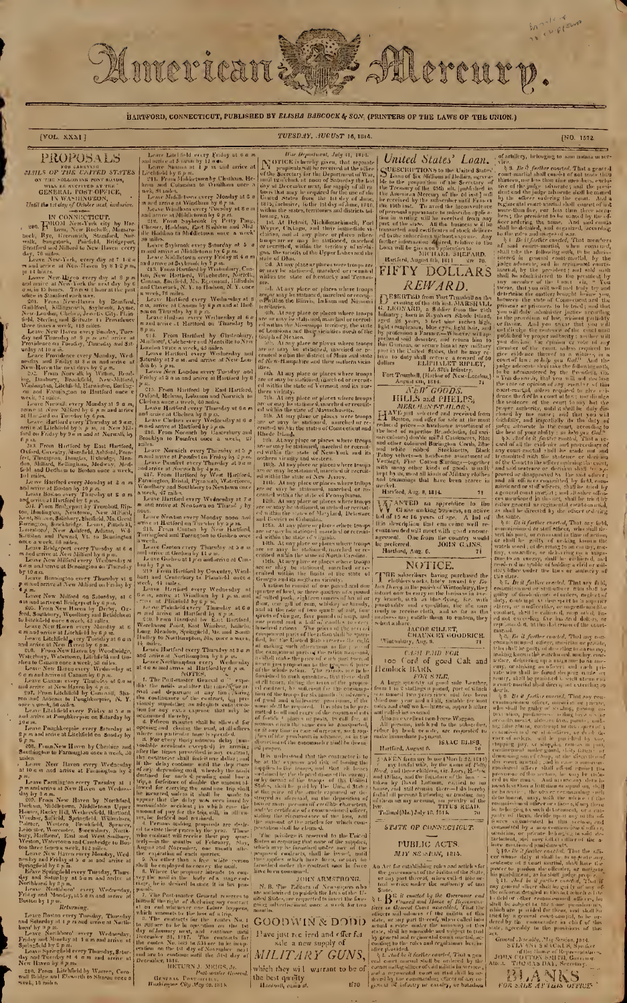

## .<br>BARTVORD, CONNECTICUT, PUBLISHED BY ELISHA BABCOCK & SON, (PRINTERS OF THE LAWS OF THE UNION.)

### [VOL. XXXI]

### TUESDAY, AUGUST 16, 1814.

[NO. 1572.

PROPOSALS FOR CARRING<br>MAILS OF THE UNITED STATES<br>on the solloming post roads, ov THE SOLLOWING POST ROADS,<br>
Who he accrived at the "<br>
GENERAL POST-OPFICE,<br>
IN WA-HINGEOT - OPEN CRAFT CRAFT CRAFT CRAFT CRAFT CRAFT CRAFT CRAFT CRAFT CRAFT CRAFT CRAFT CRAFT CRAFT CRAFT

**EXECUTE:** The CONNECTION of the CONNECTION of the Manus Connection of the Republic Alumn of the Standard Alumn and Manus and the Standard and Milhord to New Haven every the Target New Manus Leavel of the Connection of th

t and Minores<br>Marke, Marke, every day at 7–1-2 *a*<br>New-York, every day at 7–1-2 *p ne*<br>jier at New-Horen by 8 1-2 *p ne* 

Leave New-2108, and the best and the same of the control of the control and arrive at New-Happ every day at  $3$  p m and trainer at New-Yew-Happ every day at  $3$  p m and the control of the same of the same of the same of t

ave Survents every montany at D a m<sub>e</sub><br>and Serve Milford by 6 *p* m and arrive<br>cliend on Tuesday by 6 *pm*.<br>we diartical every Thursday at 9 am,<br>at Litchirehl by h p m, at Nervall, ley<br>in Friday by 9 a m and at Norwall, le

a, From Hartford by East Hartford,<br>3. From Hartford by East Hartford,<br>rd, Caventry, Mansfield, Ashford, Poin-<br>Thuappon, Dungka, H'shiridge, Man-<br>and Dedham to Boston once a wrek,<br>and Dedham to Boston once a wrek,

and Dedham to Boston once a wrek,<br>miles<br>rever at Boston once a wrek,<br>rever at Boston by 10  $p$  m.<br>rever at Boston overy Thursday at  $\leq a$  m<br>acts Boston overy Thursday at  $\leq a$  m<br>at Exploring the properties of the Millio

bury, Marlbord, East and West Sudlany, Weston, Waterloom and Cambridge to Boston to three lines a week, 102 miles.<br>Leave New Haven reveals and Subset of the meaning week and a mixe a meaning weak<br>meaning meaning at a mixe

by  $1 p$  m.<br>Returning.

Returning.<br>
Leace Boston every Tuesday, Thuesday<br>
and Saturday at 1 p as and arrive at Northern<br>
pen' by <sup>19</sup> p as<br>
Leave Northboro' every Wednesday,<br>
Leave Northboro' every Wondards,<br>
Leave Saturday<br>
1 a an and arrive at

Leave Littl field vecty Finday at 6 a m<br>id orrice at 8 tanan by 11 a co.<br>Leave Shanna at 1 p as and arrive at<br>it chinding 6 p m.<br>PH. From Mohinetwon by Chatham, He-<br>pk. 31 toiles

Lietment by the main Collarian and Collarian Collaring to the set of the set of the set of the set of the set of the set of the set of the set of the set of the set of the set of the set of the set of the set of the set o

.<br>
1. From Hartfierd by Glastenbury,<br>
ioro<sup>r</sup>, Colebester and Mantvitte to New<br>
don twee a week, 43 oules.<br>
ave Hartford every Weilnesday and<br>
aby at 7 *a* m, and arrive at New-Lon-

Saturiby at  $7\ a$  m, and arrive at Neve-London by  $\ a\ p\ m$ ,<br>Leave New London every Tuesday and<br>Friday at  $3\ a$  m and arrive at Hartford by  $3$ 

P m.<br>
215. From Hartford by East Hartford,<br>
215. From Hartford by East Hartford,<br>
20.60rd, Helenin, Lobanon nod Norwich to<br>
Look Hartford every Thursday at 6 a m<br>
2. Look Hartford every Wednesday at 6 a<br>
2. Lease Cludsen

**Example 21** and arrive at Hartford by  $\frac{1}{2}f$  on<br>
21. Erom Norwich by Usatevhury and<br>
21. Erom Norwich every Thirstyle at the Known of the Market Constant<br>
27. Lave Norwich every Thursday at 3 *p* of<br>
21. Even Punket

noos.<br>
Larce Newton every Monday nooo aad<br>
arrive at Hartford on Turvalay by 5 p m.<br>
213. From Unition by New Hartford,<br>Turringford and Torrington to Gosheo once<br>
a weeh.

Section 3 distance and the section 1 distance and the section and the section in the section of the section 1 distance and the section 1 distance and the section 1 distance and the section 1 distance and the section 1 dis

For the district in the particle in the particle in the set of the computation of  $\frac{1}{2}$  and  $\frac{1}{2}$  and  $\frac{1}{2}$  and  $\frac{1}{2}$  and  $\frac{1}{2}$  and  $\frac{1}{2}$  and  $\frac{1}{2}$  and  $\frac{1}{2}$  and  $\frac{1}{2}$  are not better in

o, continue nom.<br>1948.<br>- HETURN J. MEAGS, Jr.<br>- Pastruaster Geneval. Patchainer of<br>General Post-livetics,<br>Washington City May 20, 1818

**For Bepartment, July 41, 1814.**<br> **N** OTICK is hereby given, that separate of the spectrum of the secretary for the Deperturent of War, and it is also dependent of War, and the dependent of War, for explaining the last to

The states, terms<br>or and Michillimackinacle, Forland At Definit, Michillimackinacle, Forland<br>At Definit, Michillimackinacle, Forland<br>25, and at any place or places where<br>2010<br>2010 in the Upper Lakes and the<br>the utchly of t

tte of Dhus<br>2d. Attany place or ploces were troops are<br>totay be stationed, marched or recruited<br>film the state of Kentucky and Tennes-

with the state of places where troops<br>
ser, any los state of places where troops<br>
are a may los state ord, marchwell or recently<br>
effectivity the diffusivity and bits and bits and the<br>
dth. At any place or places where tro

tories,<br>h. At ony place or places where Ironeys<br>or may be statistical marched or certoi-<br>onisions and help vicinities nord of the<br>consistence and help vicinities nord of the<br>ch of Nexieu.

iph of Mexica.<br>The Atlany idace by playes where troops<br>(0) Taay (be) stationed, marcifed or py<br>(ed) to bin the district of Main and state<br>New-Hampeline and their nothern vicin-

entire at boundary and their transfer and their transferse and their transfers of New-Hampdore and their transfers of the Man phase of Vermont and its normalism of the site of Vermont and its normalism of the Alman phase

Tath. At any place or by opposite of or recent-<br>return and place or places where trongs<br>refied and<br>in the stationed, namelad or resulted and in state of Nordi-Gamina.<br>The stational method are compared within the state of<br>

For a<br>second of the stationed, making the stationed product of the statistic<br>period within the limits of the statistic conduction of the statistic<br>period within the most of one painted and due put the statistic period of the component purits of the ration more<br>such that  $\mathcal{O}$  and  $\sigma$  such that<br>and  $\sigma$  is such that the price of each purit term of the<br>real of the value ration. The rations in each of the function of the<br>substrate of the

ed proper,<br>
It is understood that the contractor is to be at the expresse and risk of Issuing the singlines to the requesive and risk of Issuing the singlines to the depend moonly the depend moonly of the total of the thr

The poiviling is reserved to the United<br>States of equating that cane of the supplies, which may be formided under<br>provided and the venied may be foreighted one of the United vented contrast. Since the same is the three terms of the three states of the three spin factors of the family factor of the contrast term of the contrast of the contrast of the

 $N$ , B, The LORINGE CONSTRONG<br> $N$ , B, The Loring Manuscriptor and the latter of the stages are<br>nuclearly different to pulsify the latter of the latter<br>given advertisement once a week for two months.

which they will warrant to be of<br>the best quality<br>theoretic exists.

re  $United S' LadaB$ <sup>2</sup> Longville procedure and the space of the space of the space of the control of the space of the space of the space of the space of the control of the space of the space of the space of the space of the space of artillery, belonging to same man United States' Loan.

erky1.<br>Hariford, Aug. 8, 1814.  $\sigma_{\rm H}$ 

**Exercise** August 1814. The Contract of the Club Characteristics of the Club Characteristic and the Characteristic and the distribution of the second three via the second three via the second three via the second three vi

NOTICE.

**NVITE:**<br>
THE subsettlers were a being purchased the<br>
deluhiers works, hately invined by *Ba-<br>
ham Dreeq*, in the parish of Wintonbury, they<br>
intend only the early on the being as in reach<br>
purchasily and expendition, the

Wintsubary, Aug. 8.<br>
C.4.841 P.11D FOR<br>
100 Cord of good Cak and<br>
Hemlock B.ViX<br>  $F \sim 100$  For all and<br>
Hemlock B.ViX<br>  $F \sim 100$  For all and<br>
from 110 S shiftes a gradient with the factorization<br>
(c.s. tand a row and a la

trattiard, August 5.<br>  $\frac{1}{2}$  + AF EN from my lo use (March 22, 1613)<br>  $\frac{1}{2}$  - my lasted with, by the name of Polly<br>
Reng, and three children, tiz. Lore, RP-box<br>
and Offica, and the fortainme of the line state<br>
bane

STATE OF CONNECTIGUT.

PUBLIC ACTS.  $MAY$  SEMON, 1814.

that for establishing roles and article vfor<br>the government of the dialita of the State,<br>or any part thereof, where culled into ne-<br>trad service mater, the multionity of this<br>States where mater, the multionity of this

For the rates and regulation of the rates and regulation of the transfer counted. That we generate the counted of divided in series (a) the counted of divided in series (a) a reprocedure of divided in series (a) the contra

d by the communities officers<br>ut is unfautry to caval<sup>y</sup>y, or

a general concl<br>ces mentioned

as shall be directed by the officer obleting<br>the same,<br> $\delta_{\rm 0}$  is the infinite chard-d<sub>e</sub> That any field<br>commissioned or stall officer, who shall de-

it further evacted. Th

Be it further enound. That so

the otherwise designed in this activitief to<br>the otherwise designed of the control of the state of the state particle<br>bibled be subject to the Same paraison of<br>bibled perfect to the state paraison<br>bibled by a greezed court

act,  $\begin{array}{l} \begin{array}{l} \text{act,} \\ \text{Gaeard, } \text{Breadly, } \mathcal{M}_\text{Q} \text{ Section, 1814.} \\ \text{S1LP-NNI} \text{S1} \text{CCLI}, \text{S, 3polar} \\ \text{JONN, CO CTON, S3H I2D, Gaceardation.} \\ \text{Ato.t.} \end{array} \\ \begin{array}{l} \text{JONN, CO CTON, S3H I2D, Gaceardation.} \\ \text{Ato.t.} \end{array} \\ \begin{array}{l} \begin{array}{l} \text{R1} \\ \text{S1} \\ \text{S2}$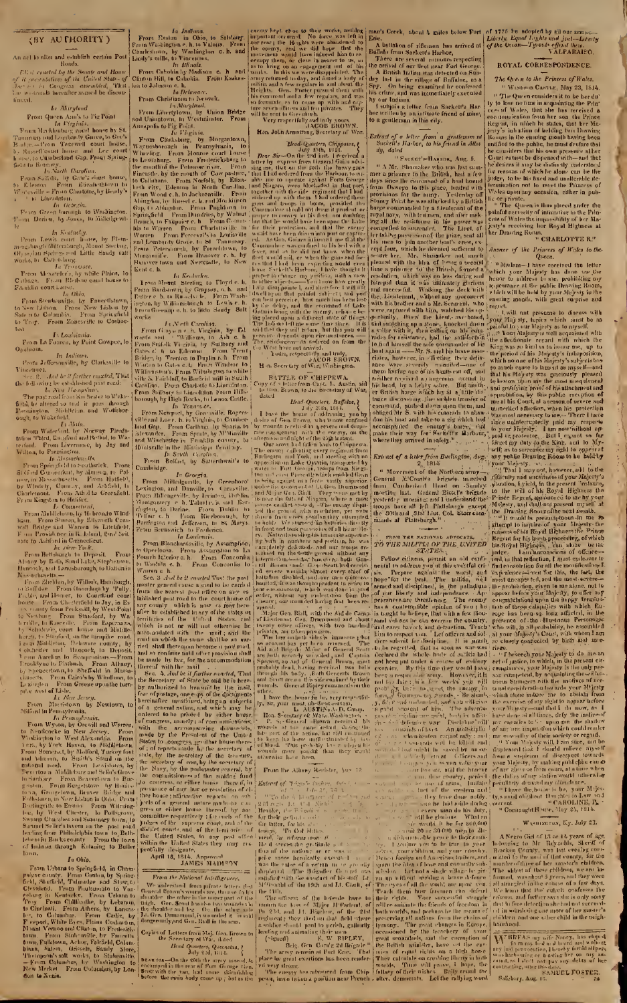### (BY AU THORITY)

# An act to alter and establish certain Post

EW al canceled by the Senate and House<br>  $R$  presentatives of the United States of<br>  $w^k$  is the Congress assembled, "That<br>  $w$  is strands be<br>realise named be discontinged.

## **Le Maryland**

In survyanta<br>
From Quen Astro-Brazilian.<br>
Tenn Merklenbarg yourt howe by St.<br>
Tenn Merklenbarg yourt howe by St.<br>
and response Theory Guen process of the St.<br>
10 cm Theory and Level court bodse,<br>
13 steel count house and L

From Daten, by Jones, 10 aniletizevil-<br>
le<br>
Prom Lewis court house, by Flem-<br>
mousburgh Miletsburgh, Mount Sterling,<br>
Olympian Springs eval Little Sandy satt<br>
work, in Cattelling,<br>  $\frac{1}{L}$  Troussace,<br>
From Mexander's, b

# $\frac{1}{\text{F}}$  Louisiania.<br>
From La Foncia, by Point Cowpee, lo

paluosa.<br>*In Indiana*, Clarksville to

Castin Jeffersonialle, by Clarkwille to Vaccounte, the Scalin Hard in the following the stable<br>hard in the following of the following tend. The following tend of the following tend of the following continue of the absorpt

In Ohio, From Urban to Springfield, in Characteria, From Cantun, by Spring-piege cuntury. From Cantun, by Spring-field, Slatfield, Tutan to the fellow They Fend Theoretics, From Urban to Circles Theoretics (For The Theoret

In Indiana, Inc. Taslon in Ohio, to Salsburg.<br>
From Washington c. h. to Valona. From Charleshown, by Washington c. h. and<br>
Lindy's mills, to Vincentes.

Functional Marian Barriston (Fig. 1976)<br>
The Barriston (Fig. 1976)<br>
The Charles Could by Machian c. h. and<br>
Liably's mills, to Vincentus,<br>
From Cabolida by Machison c. h. and<br>  $\frac{ln \,Dtanar\alpha}{ln \,Dtanar\alpha}$ , h.  $\frac{ln \,Dtanar\alpha}{ln \,D$ Hamver<br>Kent &, h. La Kenturkov.

From Greenup o, h. to littlo Sandy Satt<br>
works<br>
From Greenup o, h. to littlo Sandy Satt<br>
works<br>
From Grays n e h. Virginia, by Ed<br>
reads such the Victilian, to Ash c. h<br>
From Satic Victilia, by Subbory and<br>
Gates c. h to

From Belfast, by Sattertbeadt's to'<br>
Lexington, In Groegia.<br>
Lexington, and Diaudente, by Greenbare'<br>
Lexington, and Danville, by Greenbare'<br>
Prom Millengton, the Uniter (section, 1986)<br>
(10 Danie Prop. Dubits in the Higg

From the National Intelligencer, We understand from private letters that General Brown's wounds are, then one in this shoulder the other in the map and the line of the bindidal content of the bindidal content of the stand

dingeometry and contracted in the street from the Secretary of Way, that<br>the Secretary of Way, that of the Secretary of the Secretary of the Secretary of the Secretary of the Secretary of the compared in the real of the st

corny kept, clear to their works, nulling<br>important occurred. No force was left in the corny, and we allow the<br>position of the corny, and we allow the homogain to the<br>measurement with the measurement of the measurement of

BATTLE OF CHIPPEIVA.<br>
Cupy of v tode form Capt. 1. Austin, aid<br>
to the botter on the best of the state of War,<br>
dated

Cupy of a detection Capt. 1. Austin, and the interior Brown, to die Svenstary of War, dated  $Lrad/des$ ,  $Budds$ ,  $Budds$ ,  $Budds$ ,  $Budds$ ,  $Budds$ ,  $Budds$ ,  $Budds$ ,  $Budds$ ,  $Budds$ ,  $Budds$ ,  $Budds$ ,  $Budds$ ,  $Budds$ ,  $Budds$ ,  $Budds$ ,  $Budds$ ,  $Budds$ ,  $B$ 

enery a manufold laying fast been re-<br>then type control and the control of the control of the control of the<br>angle of the control of the control of the control of the control of<br>the control of the control of the control o

with the house of the product of the state of the state of the state of the state of the state of the state of the state of the state of the state of the state of the state of the state of the state of the state of the st

# From the Albany Revistor, Aug.

Extreet of Milgard Deliver for 1.

 $\mathbb{P}^{(0)}$  in the friction of the friction of the friction of the friction of the friction of the friction of the friction of the form of the friction of the transport of the transport of the transport of the transport

MO<br/>rotalit of the 19th and Lt. Ciack, of the 110 and Lt. Ciack, of the 11th<br>from the last of Major Mi-Farland, of the 21th culteres of Major Mi-Farland, of the 21st and 1 t. Begelew, of the 21st regiment (the conditio

 $\begin{tabular}{|l|l|} \hline & \textbf{man's Greek}_i & \textbf{from 14 miles below Fort} & \textbf{f 1775} & \textbf{be adopted by fil on} \textbf{an} \textbf{m} \\\hline & \textbf{Erie}, & \textbf{A}\text{ battalien of riffemen has arrived at} & \textit{Libirty, Equal English and just—Literly \\ \hline \textbf{Bullali} & \textbf{from Sacketl's Harlor}, \\ \hline \textbf{Bullali} & \textbf{from Sacketl's Harlor}, \\ \hline \textbf{Bullali} & \textbf{from 1005 respectively} & \textbf{BOTAL CORRESPONDENE} \\ \hline \end{tab$ 

# $\begin{array}{ll} \textit{Extract\ of\ a\ teller from\ a\ gehilemem}\ \textit{n}\ \textit{Suckell's Habler, to his friend in Altur}\ \textit{dly, dated}\ \textit{n}\ \textit{Slexert's-Hamona, Aug, 5.} \end{array}$

Suckett's Harbor, to his friend in Albu<br>
uly, date<br>
uly, date<br>
uly, date<br>
in Sexexur's-Hannon, Ang. 5.<br>
in Naxsuris-Hannon, Ang. 5.<br>
in Naxsuris-Hannon, Ang. 5.<br>
in Axsuris-Hannon of a bard home<br>
intervalue of this place,

# Extract of a letter from Buclington, Aug.

Extract of a letter from Buclington,  $A_{12}$ ,<br>  $B_{11}$ ,  $B_{12}$ ,  $B_{13}$ ,  $B_{14}$ ,<br>  $B_{15}$ ,  $B_{16}$ ,  $B_{17}$ ,  $B_{18}$ ,  $B_{19}$ ,  $B_{19}$ ,  $B_{19}$ ,  $B_{19}$ ,  $B_{19}$ ,  $B_{19}$ ,  $B_{19}$ ,  $B_{19}$ ,  $B_{19}$ ,  $B_{19}$ ,  $B_{19}$ ,  $B$  $\sim 10^{10}$  m  $^{-1}$ 

# $\overbrace{TO}^{\text{FION PRR MATIONAL ANDOATE}}_{\text{GOMER}} \overbrace{TO}^{\text{FOM P R R MULTL} \overbrace{OT}^{\text{FOM P R R MCL}}_{\text{STCTES}_1} \overbrace{UNITED}^{\text{FOM P R R M L}}$

u.

 $\begin{tabular}{|c|c|} \hline & & & & & & & \\ \hline & & & & & & & \\ \hline & & & & & & & \\ \hline & & & & & & & \\ \hline & & & & & & & \\ \hline & & & & & & & \\ \hline & & & & & & & \\ \hline & & & & & & & \\ \hline & & & & & & & \\ \hline & & & & & & & \\ \hline & & & & & & & \\ \hline & & & & & & & \\ \hline & & & & & & & \\ \hline & & & & & & & \\ \hline & & & & & & & \\ \hline & & & & & & & \\ \hline & & & & & & & \\ \hline & & & & & & & \\ \hline & & & & & & &$ 

The Queen to the Princess of Wates,<br>
"Wistown Calculte, they 23, 1514,<br>
"Wistown Calcultes it to be bered!<br>
ty to bese not time argumenting the Princessian of the control of the<br>
controllation from the range of a certic o

Answer of the Princess of Wales to the Queen.

reading month, with great surprise and reprise and reading<br>the state. It with an presence is denotes with an interesting Minister, the<br>presence of denoting and  $\int_a^b$  for Minister with the month of the<br>presence of the st

## Wranisgros, Ry, July 27.

W valuations, Ey, July 23.<br>
A Negro Girl of 13 or 44 years of age,<br>
the<br>longing to Mr. Reynolds, Sheriff of Booksen County, was lest even<br>hy first formation of the gaud of the coupler of middle<br>
in order of the gauding co handood.<br>
Y HEPAN my wife Nancy, has chunch<br>
our fine may be a a bund and well into<br>
instruming or tradital dispertional method of the<br>
sum harbouring or tradity for the contracting, at<br>
et this date. This contracting and

SAMUEL FOSTER.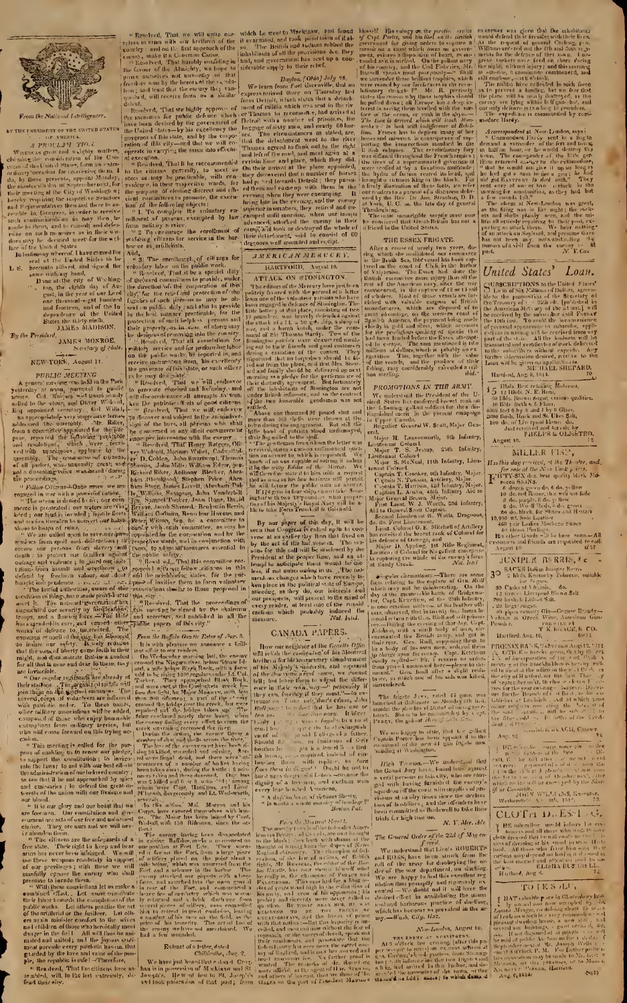

# ESHIENT OF THE UNITED STATES

Example the Unit of the Unit of the Unit of the Unit of the Unit of the Unit of the Unit of the Unit of the Unit of the Unit of the Unit of the Unit of the Unit of the Unit of the Unit of the Unit of the Unit of the Unit

I hant, and guvernment has sett to a con-<br>
is iderable supply to their relation of the con-<br>
is iderable supply to their relation of the con-<br>
I captures need there on Tauresday last 1<br>
income form for different in the la

and emissionics; in detection in gradient-line and the same of the same of the same of the same of the same of the same of the same of the same of the same of the same of the same of the same of the same of the same of th

. Fixed-red, That as will upite ene which is reactly between the based hased. Fixed-red for a constraint of the properties and the constraints of the properties and the constraints of the constraints of the constraints of

comptes de toutes ties en la mente la construer de la mente de reconstruer de tractément variables de tractément variables de la mente de la mente de la mente de la mente de la mente de la mente de la mente de la mente de

'at Zandy Creek. Nat inter-<br>
Singular circulastance.—There are some in the eigenvalue of Grady with the eigenvalue of the difference of the lay of the memorialise last the of Bridge<br>
of the memorialise last of the Shipter

surrendered.<br>
The *frigate 3xx*4, rated 44 guas, was<br>
lamiched at Baltimore on Monday Bth in-A,<br>
anaidst the planeths of 20,000 ad minog spectrations.<br>
Hans is to be commended by Capt<br>
Prany, the galant *How f* 2026 fir

FR. INTEREST, REAL ORDER STATISTICS. IN A SECOND MANUSCRIPT (STATISTIC CONDITIONS) IN A SUPER STATISTIC IN A SUPER STATISTIC (STATISTIC CONDITIONS) IN the edge of the statistical condition of the set of the statistic of t We are happy to state, that to e-gallent<br>Capania Porter has been appeared all to the<br>command of the new 44 gan frigade now<br>building at Washington,

Eight Touron,  $\overline{W}$  and  $\overline{W}$  and  $\overline{W}$  and  $\overline{W}$  is a complete that  $\overline{W}$  and  $\overline{W}$  in  $\overline{W}$  and  $\overline{W}$  are changed in  $\overline{W}$  and  $\overline{W}$  and  $\overline{W}$  and  $\overline{W}$  and  $\overline{W}$  and  $\overline{W}$  and heen cummucum on  $N$ ,  $Y$ ,  $Mer$ ,  $ddv$ 

*N. Y. Mer. Adv*<br>The General Order of the 22d of May on<br>We understand that Lives. (OBERTS<br>and ROSS, have been struck from the<br>real of the wave for diversing the or-<br>different theory of diversion and defined one<br>of the wav

## New-London, August to.

TO I IE S $\mathcal{F}L^{1}$  , where in Glostenbury lates  $L$  by overclosed and rate of excepted by since the Lyonard diagonal control of the consistent of the second of the second of the second of the second of the second of th  $\label{eq:R1} \begin{array}{c} \textbf{Area:} \textbf{L} \textbf{and} \textbf{eq}_1 \textbf{A} \textbf{H} \textbf{g} \textbf{int} \textbf{10},\\ \textbf{a} \textbf{d} \textbf{d} \textbf{d} \textbf{d} \textbf{d} \textbf{d} \textbf{d} \textbf{d} \textbf{d} \textbf{d} \textbf{d} \textbf{d} \textbf{d} \textbf{d} \textbf{d} \textbf{d} \textbf{d} \textbf{d} \textbf{d} \textbf{d} \textbf{d} \textbf{d} \textbf{d} \textbf$ 

has not hear any, mit which the prime then<br>the same of a visit from the energy is<br>post. W. T. Cox

United States' Loan.

**URILEA STATES**<br>
CURRENTIONS to the United STATE CONSECRETIONS to the United STATES of the UNITED STATE of the proposition of the Secretary of the American Mericular to the Technology of the American Mericular of the acti

 $\begin{tabular}{l|c|c|c} \textbf{Hartfont, Aug, 8, 1814.} & \textbf{70} \\ \hline \textbf{1} & \textbf{1} & \textbf{1} & \textbf{1} \\ \textbf{2} & \textbf{1} & \textbf{1} & \textbf{1} & \textbf{1} \\ \textbf{3} & \textbf{1} & \textbf{1} & \textbf{1} & \textbf{1} & \textbf{1} \\ \textbf{4} & \textbf{5} & \textbf{1} & \textbf{1} & \textbf{1} & \textbf{1} \\ \textbf{5} & \textbf{1} & \textbf{1} & \textbf{1}$ 

MILLER FISP,

**MiLLER** F152°, <br>
Has this day received, at the Theorete, and, for sale at the Neue Part of the Theorete, and<br>
Figure 31X density between the Neueron and Container and the Neueron SK(NS).<br>
Figure 35.6 NSL and the State pu

JUNIPLE BERRIS, & c

JUNIPER BB RRIS<sub>2</sub> x c = 30<br>
30 SACRS Ration dimptre Everis<br>
30 S. hidds, Kentucky Tubiteen suitable<br>
50 Casks ut Viginia.<br>
do.<br>
12 tirrer: Liverpud Blows 85lt<br>
700 lanshk Lisland Salt<br>
700 lanshk Lisland Salt<br>
700 lanshk

mt. a. 15.<br>Aug. 16. Secolulus an AGB, Casmer.

Ang. 93<br>  $\frac{1}{2}$  HP, schooling comparison and the contract of the contract of the bottle of the set of the set of the set of the set of the set of the set of the set of the set of the set of the set of the set of the se

CLOTH DEESTER.

**FEE subculber, wedd inform 1 a cross-**<br> **FEE subculber, wedd inform 1 a crossol that invested that investigated**<br>  $\frac{1}{2}$  in the substitution of the set of distribution of the later<br>  $\frac{1}{2}$  into the set of distribut

TO LES ANY